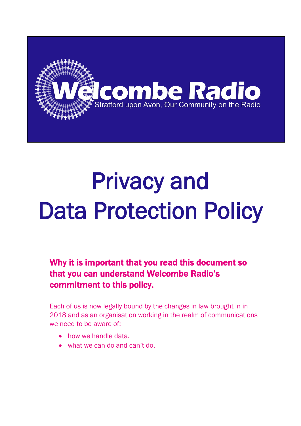

# Privacy and Data Protection Policy

Why it is important that you read this document so that you can understand Welcombe Radio's commitment to this policy.

Each of us is now legally bound by the changes in law brought in in 2018 and as an organisation working in the realm of communications we need to be aware of:

- how we handle data.
- what we can do and can't do.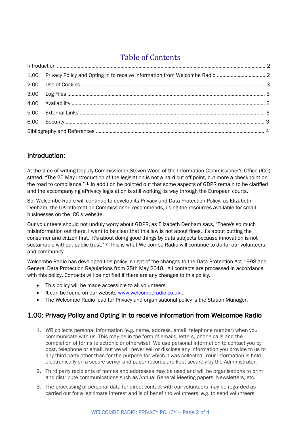# Table of Contents

| 1.00 Privacy Policy and Opting In to receive information from Welcombe Radio |  |  |
|------------------------------------------------------------------------------|--|--|
|                                                                              |  |  |
|                                                                              |  |  |
|                                                                              |  |  |
|                                                                              |  |  |
|                                                                              |  |  |
|                                                                              |  |  |

### Introduction:

At the time of writing Deputy Commissioner Steven Wood of the Information Commissioner's Office (ICO) stated, "The 25 May introduction of the legislation is not a hard cut off point, but more a checkpoint on the road to compliance." <sup>1</sup>. In addition he pointed out that some aspects of GDPR remain to be clarified and the accompanying ePrivacy legislation is still working its way through the European courts.

So, Welcombe Radio will continue to develop its Privacy and Data Protection Policy, as Elizabeth Denham, the UK Information Commissioner, recommends, using the resources available for small businesses on the ICO's website.

Our volunteers should not unduly worry about GDPR, as Elizabeth Denham says, "There's so much misinformation out there. I want to be clear that this law is not about fines. It's about putting the consumer and citizen first. It's about doing good things by data subjects because innovation is not sustainable without public trust." <sup>2</sup>. This is what Welcombe Radio will continue to do for our volunteers and community.

Welcombe Radio has developed this policy in light of the changes to the Data Protection Act 1998 and General Data Protection Regulations from 25th May 2018. All contacts are processed in accordance with this policy. Contacts will be notified if there are any changes to this policy.

- This policy will be made accessible to all volunteers.
- It can be found on our website [www.welcomberadio.co.uk](http://www.welcomberadio.co.uk/) .
- The Welcombe Radio lead for Privacy and organisational policy is the Station Manager.

## 1.00: Privacy Policy and Opting In to receive information from Welcombe Radio

- 1. WR collects personal information (e.g. name, address, email, telephone number) when you communicate with us. This may be in the form of emails, letters, phone calls and the completion of forms (electronic or otherwise). We use personal information to contact you by post, telephone or email, but we will never sell or disclose any information you provide to us to any third party other than for the purpose for which it was collected. Your information is held electronically on a secure server and paper records are kept securely by the Administrator.
- 2. Third party recipients of names and addresses may be used and will be organisations to print and distribute communications such as Annual General Meeting papers, Newsletters, etc.
- 3. The processing of personal data for direct contact with our volunteers may be regarded as carried out for a legitimate interest and is of benefit to volunteers e.g. to send volunteers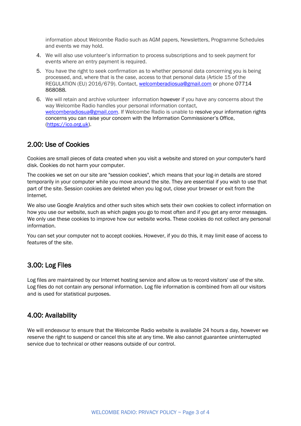information about Welcombe Radio such as AGM papers, Newsletters, Programme Schedules and events we may hold.

- 4. We will also use volunteer's information to process subscriptions and to seek payment for events where an entry payment is required.
- 5. You have the right to seek confirmation as to whether personal data concerning you is being processed, and, where that is the case, access to that personal data (Article 15 of the REGULATION (EU) 2016/679). Contact, [welcomberadiosua@gmail.com](mailto:welcomberadiosua@gmail.com) or phone 07714 868088.
- 6. We will retain and archive volunteer information however if you have any concerns about the way Welcombe Radio handles your personal information contact, [welcomberadiosua@gmail.com.](mailto:welcomberadiosua@gmail.com) If Welcombe Radio is unable to resolve your information rights concerns you can raise your concern with the [Information Commissioner's Office](https://ico.org.uk/concerns), [\(https://ico.org.uk\)](https://ico.org.uk/).

#### 2.00: Use of Cookies

Cookies are small pieces of data created when you visit a website and stored on your computer's hard disk. Cookies do not harm your computer.

The cookies we set on our site are "session cookies", which means that your log-in details are stored temporarily in your computer while you move around the site. They are essential if you wish to use that part of the site. Session cookies are deleted when you log out, close your browser or exit from the Internet.

We also use Google Analytics and other such sites which sets their own cookies to collect information on how you use our website, such as which pages you go to most often and if you get any error messages. We only use these cookies to improve how our website works. These cookies do not collect any personal information.

You can set your computer not to accept cookies. However, if you do this, it may limit ease of access to features of the site.

#### 3.00: Log Files

Log files are maintained by our Internet hosting service and allow us to record visitors' use of the site. Log files do not contain any personal information. Log file information is combined from all our visitors and is used for statistical purposes.

#### 4.00: Availability

We will endeavour to ensure that the Welcombe Radio website is available 24 hours a day, however we reserve the right to suspend or cancel this site at any time. We also cannot guarantee uninterrupted service due to technical or other reasons outside of our control.